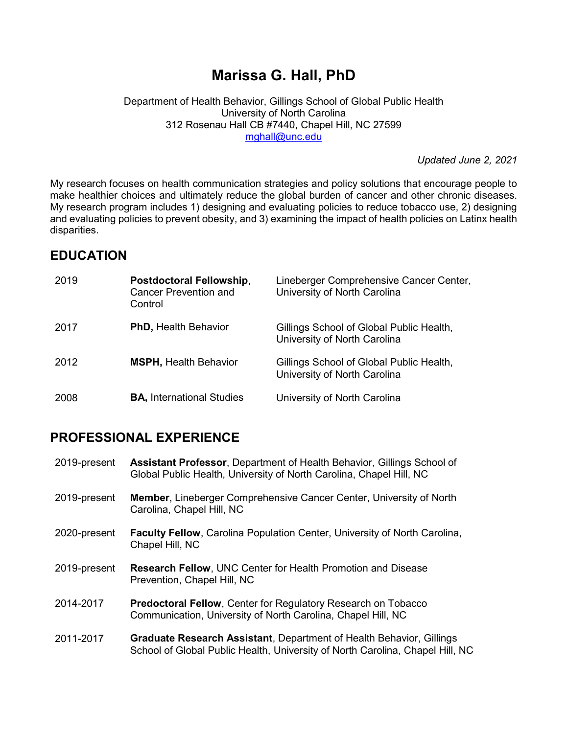# Marissa G. Hall, PhD

Department of Health Behavior, Gillings School of Global Public Health University of North Carolina 312 Rosenau Hall CB #7440, Chapel Hill, NC 27599 mghall@unc.edu

Updated June 2, 2021

My research focuses on health communication strategies and policy solutions that encourage people to make healthier choices and ultimately reduce the global burden of cancer and other chronic diseases. My research program includes 1) designing and evaluating policies to reduce tobacco use, 2) designing and evaluating policies to prevent obesity, and 3) examining the impact of health policies on Latinx health disparities.

# EDUCATION

| 2019 | Postdoctoral Fellowship,<br>Cancer Prevention and<br>Control | Lineberger Comprehensive Cancer Center,<br>University of North Carolina  |
|------|--------------------------------------------------------------|--------------------------------------------------------------------------|
| 2017 | <b>PhD, Health Behavior</b>                                  | Gillings School of Global Public Health,<br>University of North Carolina |
| 2012 | <b>MSPH, Health Behavior</b>                                 | Gillings School of Global Public Health,<br>University of North Carolina |
| 2008 | <b>BA, International Studies</b>                             | University of North Carolina                                             |

# PROFESSIONAL EXPERIENCE

- 2019-present Assistant Professor, Department of Health Behavior, Gillings School of Global Public Health, University of North Carolina, Chapel Hill, NC
- 2019-present Member, Lineberger Comprehensive Cancer Center, University of North Carolina, Chapel Hill, NC
- 2020-present Faculty Fellow, Carolina Population Center, University of North Carolina, Chapel Hill, NC
- 2019-present Research Fellow, UNC Center for Health Promotion and Disease Prevention, Chapel Hill, NC
- 2014-2017 Predoctoral Fellow, Center for Regulatory Research on Tobacco Communication, University of North Carolina, Chapel Hill, NC
- 2011-2017 Graduate Research Assistant, Department of Health Behavior, Gillings School of Global Public Health, University of North Carolina, Chapel Hill, NC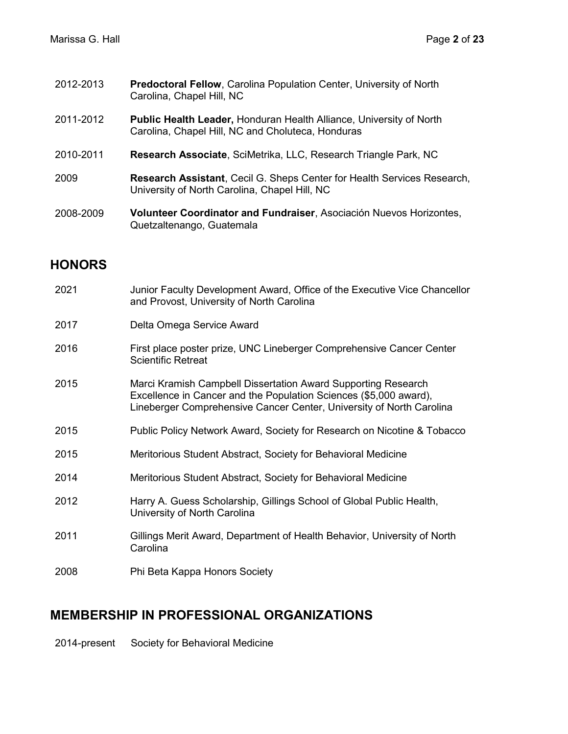- 2012-2013 Predoctoral Fellow, Carolina Population Center, University of North Carolina, Chapel Hill, NC
- 2011-2012 Public Health Leader, Honduran Health Alliance, University of North Carolina, Chapel Hill, NC and Choluteca, Honduras
- 2010-2011 Research Associate, SciMetrika, LLC, Research Triangle Park, NC
- 2009 Research Assistant, Cecil G. Sheps Center for Health Services Research, University of North Carolina, Chapel Hill, NC
- 2008-2009 Volunteer Coordinator and Fundraiser, Asociación Nuevos Horizontes, Quetzaltenango, Guatemala

### HONORS

| 2021 | Junior Faculty Development Award, Office of the Executive Vice Chancellor<br>and Provost, University of North Carolina                                                                                     |
|------|------------------------------------------------------------------------------------------------------------------------------------------------------------------------------------------------------------|
| 2017 | Delta Omega Service Award                                                                                                                                                                                  |
| 2016 | First place poster prize, UNC Lineberger Comprehensive Cancer Center<br><b>Scientific Retreat</b>                                                                                                          |
| 2015 | Marci Kramish Campbell Dissertation Award Supporting Research<br>Excellence in Cancer and the Population Sciences (\$5,000 award),<br>Lineberger Comprehensive Cancer Center, University of North Carolina |
| 2015 | Public Policy Network Award, Society for Research on Nicotine & Tobacco                                                                                                                                    |
| 2015 | Meritorious Student Abstract, Society for Behavioral Medicine                                                                                                                                              |
| 2014 | Meritorious Student Abstract, Society for Behavioral Medicine                                                                                                                                              |
| 2012 | Harry A. Guess Scholarship, Gillings School of Global Public Health,<br>University of North Carolina                                                                                                       |
| 2011 | Gillings Merit Award, Department of Health Behavior, University of North<br>Carolina                                                                                                                       |
| 2008 | Phi Beta Kappa Honors Society                                                                                                                                                                              |

### MEMBERSHIP IN PROFESSIONAL ORGANIZATIONS

2014-present Society for Behavioral Medicine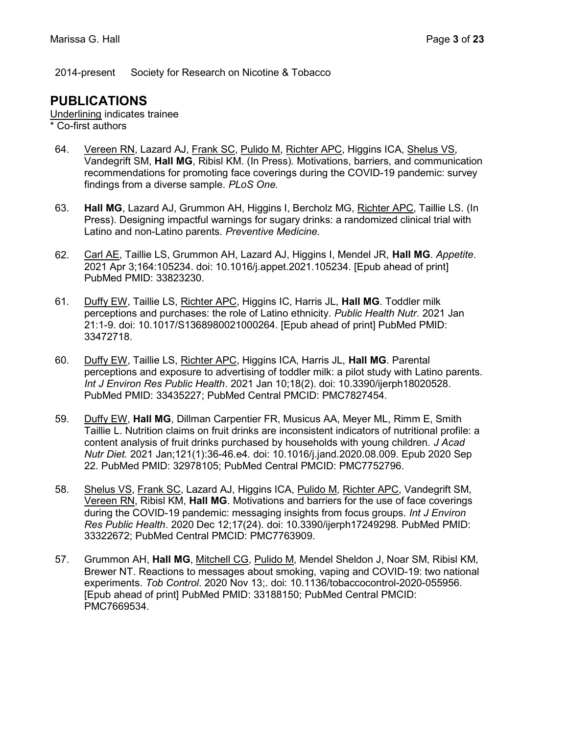2014-present Society for Research on Nicotine & Tobacco

### PUBLICATIONS

Underlining indicates trainee

\* Co-first authors

- 64. Vereen RN, Lazard AJ, Frank SC, Pulido M, Richter APC, Higgins ICA, Shelus VS, Vandegrift SM, Hall MG, Ribisl KM. (In Press). Motivations, barriers, and communication recommendations for promoting face coverings during the COVID-19 pandemic: survey findings from a diverse sample. PLoS One.
- 63. Hall MG, Lazard AJ, Grummon AH, Higgins I, Bercholz MG, Richter APC, Taillie LS. (In Press). Designing impactful warnings for sugary drinks: a randomized clinical trial with Latino and non-Latino parents. Preventive Medicine.
- 62. Carl AE, Taillie LS, Grummon AH, Lazard AJ, Higgins I, Mendel JR, Hall MG. Appetite. 2021 Apr 3;164:105234. doi: 10.1016/j.appet.2021.105234. [Epub ahead of print] PubMed PMID: 33823230.
- 61. Duffy EW, Taillie LS, Richter APC, Higgins IC, Harris JL, Hall MG. Toddler milk perceptions and purchases: the role of Latino ethnicity. Public Health Nutr. 2021 Jan 21:1-9. doi: 10.1017/S1368980021000264. [Epub ahead of print] PubMed PMID: 33472718.
- 60. Duffy EW, Taillie LS, Richter APC, Higgins ICA, Harris JL, Hall MG. Parental perceptions and exposure to advertising of toddler milk: a pilot study with Latino parents. Int J Environ Res Public Health. 2021 Jan 10;18(2). doi: 10.3390/ijerph18020528. PubMed PMID: 33435227; PubMed Central PMCID: PMC7827454.
- 59. Duffy EW, Hall MG, Dillman Carpentier FR, Musicus AA, Meyer ML, Rimm E, Smith Taillie L. Nutrition claims on fruit drinks are inconsistent indicators of nutritional profile: a content analysis of fruit drinks purchased by households with young children. J Acad Nutr Diet. 2021 Jan;121(1):36-46.e4. doi: 10.1016/j.jand.2020.08.009. Epub 2020 Sep 22. PubMed PMID: 32978105; PubMed Central PMCID: PMC7752796.
- 58. Shelus VS, Frank SC, Lazard AJ, Higgins ICA, Pulido M, Richter APC, Vandegrift SM, Vereen RN, Ribisl KM, Hall MG. Motivations and barriers for the use of face coverings during the COVID-19 pandemic: messaging insights from focus groups. Int J Environ Res Public Health. 2020 Dec 12;17(24). doi: 10.3390/ijerph17249298. PubMed PMID: 33322672; PubMed Central PMCID: PMC7763909.
- 57. Grummon AH, Hall MG, Mitchell CG, Pulido M, Mendel Sheldon J, Noar SM, Ribisl KM, Brewer NT. Reactions to messages about smoking, vaping and COVID-19: two national experiments. Tob Control. 2020 Nov 13;. doi: 10.1136/tobaccocontrol-2020-055956. [Epub ahead of print] PubMed PMID: 33188150; PubMed Central PMCID: PMC7669534.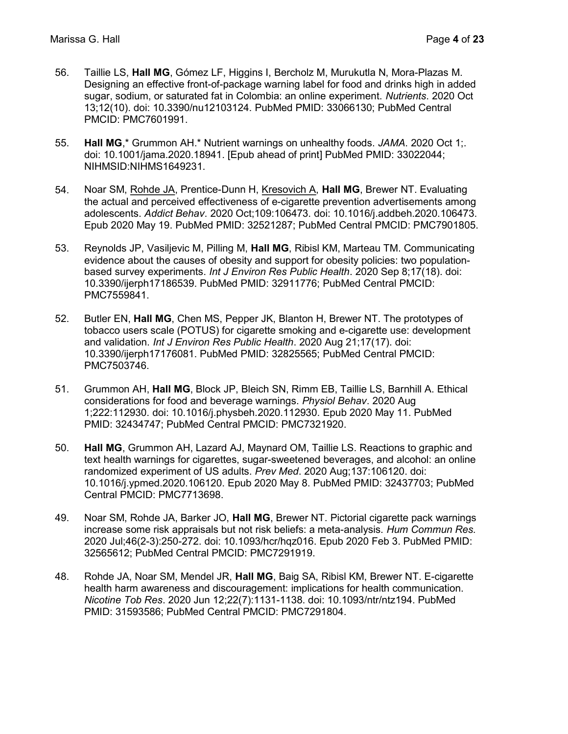- 56. Taillie LS, Hall MG, Gómez LF, Higgins I, Bercholz M, Murukutla N, Mora-Plazas M. Designing an effective front-of-package warning label for food and drinks high in added sugar, sodium, or saturated fat in Colombia: an online experiment. Nutrients. 2020 Oct 13;12(10). doi: 10.3390/nu12103124. PubMed PMID: 33066130; PubMed Central PMCID: PMC7601991.
- 55. Hall MG,\* Grummon AH.\* Nutrient warnings on unhealthy foods. JAMA. 2020 Oct 1; doi: 10.1001/jama.2020.18941. [Epub ahead of print] PubMed PMID: 33022044; NIHMSID:NIHMS1649231.
- 54. Noar SM, Rohde JA, Prentice-Dunn H, Kresovich A, Hall MG, Brewer NT. Evaluating the actual and perceived effectiveness of e-cigarette prevention advertisements among adolescents. Addict Behav. 2020 Oct;109:106473. doi: 10.1016/j.addbeh.2020.106473. Epub 2020 May 19. PubMed PMID: 32521287; PubMed Central PMCID: PMC7901805.
- 53. Reynolds JP, Vasiljevic M, Pilling M, Hall MG, Ribisl KM, Marteau TM. Communicating evidence about the causes of obesity and support for obesity policies: two populationbased survey experiments. Int J Environ Res Public Health. 2020 Sep 8;17(18). doi: 10.3390/ijerph17186539. PubMed PMID: 32911776; PubMed Central PMCID: PMC7559841.
- 52. Butler EN, Hall MG, Chen MS, Pepper JK, Blanton H, Brewer NT. The prototypes of tobacco users scale (POTUS) for cigarette smoking and e-cigarette use: development and validation. Int J Environ Res Public Health. 2020 Aug 21;17(17). doi: 10.3390/ijerph17176081. PubMed PMID: 32825565; PubMed Central PMCID: PMC7503746.
- 51. Grummon AH, Hall MG, Block JP, Bleich SN, Rimm EB, Taillie LS, Barnhill A. Ethical considerations for food and beverage warnings. Physiol Behav. 2020 Aug 1;222:112930. doi: 10.1016/j.physbeh.2020.112930. Epub 2020 May 11. PubMed PMID: 32434747; PubMed Central PMCID: PMC7321920.
- 50. Hall MG, Grummon AH, Lazard AJ, Maynard OM, Taillie LS. Reactions to graphic and text health warnings for cigarettes, sugar-sweetened beverages, and alcohol: an online randomized experiment of US adults. Prev Med. 2020 Aug;137:106120. doi: 10.1016/j.ypmed.2020.106120. Epub 2020 May 8. PubMed PMID: 32437703; PubMed Central PMCID: PMC7713698.
- 49. Noar SM, Rohde JA, Barker JO, **Hall MG**, Brewer NT. Pictorial cigarette pack warnings increase some risk appraisals but not risk beliefs: a meta-analysis. Hum Commun Res. 2020 Jul;46(2-3):250-272. doi: 10.1093/hcr/hqz016. Epub 2020 Feb 3. PubMed PMID: 32565612; PubMed Central PMCID: PMC7291919.
- 48. Rohde JA, Noar SM, Mendel JR, Hall MG, Baig SA, Ribisl KM, Brewer NT. E-cigarette health harm awareness and discouragement: implications for health communication. Nicotine Tob Res. 2020 Jun 12;22(7):1131-1138. doi: 10.1093/ntr/ntz194. PubMed PMID: 31593586; PubMed Central PMCID: PMC7291804.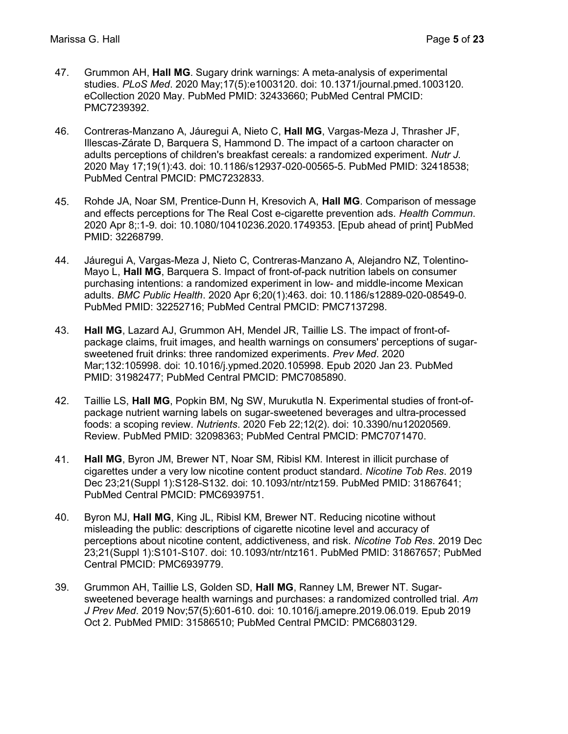- 47. Grummon AH, Hall MG. Sugary drink warnings: A meta-analysis of experimental studies. PLoS Med. 2020 May;17(5):e1003120. doi: 10.1371/journal.pmed.1003120. eCollection 2020 May. PubMed PMID: 32433660; PubMed Central PMCID: PMC7239392.
- 46. Contreras-Manzano A, Jáuregui A, Nieto C, Hall MG, Vargas-Meza J, Thrasher JF, Illescas-Zárate D, Barquera S, Hammond D. The impact of a cartoon character on adults perceptions of children's breakfast cereals: a randomized experiment. Nutr J. 2020 May 17;19(1):43. doi: 10.1186/s12937-020-00565-5. PubMed PMID: 32418538; PubMed Central PMCID: PMC7232833.
- 45. Rohde JA, Noar SM, Prentice-Dunn H, Kresovich A, Hall MG. Comparison of message and effects perceptions for The Real Cost e-cigarette prevention ads. Health Commun. 2020 Apr 8;:1-9. doi: 10.1080/10410236.2020.1749353. [Epub ahead of print] PubMed PMID: 32268799.
- 44. Jáuregui A, Vargas-Meza J, Nieto C, Contreras-Manzano A, Alejandro NZ, Tolentino-Mayo L, Hall MG, Barquera S. Impact of front-of-pack nutrition labels on consumer purchasing intentions: a randomized experiment in low- and middle-income Mexican adults. BMC Public Health. 2020 Apr 6;20(1):463. doi: 10.1186/s12889-020-08549-0. PubMed PMID: 32252716; PubMed Central PMCID: PMC7137298.
- 43. Hall MG, Lazard AJ, Grummon AH, Mendel JR, Taillie LS. The impact of front-ofpackage claims, fruit images, and health warnings on consumers' perceptions of sugarsweetened fruit drinks: three randomized experiments. Prev Med. 2020 Mar;132:105998. doi: 10.1016/j.ypmed.2020.105998. Epub 2020 Jan 23. PubMed PMID: 31982477; PubMed Central PMCID: PMC7085890.
- 42. Taillie LS, Hall MG, Popkin BM, Ng SW, Murukutla N. Experimental studies of front-ofpackage nutrient warning labels on sugar-sweetened beverages and ultra-processed foods: a scoping review. Nutrients. 2020 Feb 22;12(2). doi: 10.3390/nu12020569. Review. PubMed PMID: 32098363; PubMed Central PMCID: PMC7071470.
- 41. Hall MG, Byron JM, Brewer NT, Noar SM, Ribisl KM. Interest in illicit purchase of cigarettes under a very low nicotine content product standard. Nicotine Tob Res. 2019 Dec 23;21(Suppl 1):S128-S132. doi: 10.1093/ntr/ntz159. PubMed PMID: 31867641; PubMed Central PMCID: PMC6939751.
- 40. Byron MJ, Hall MG, King JL, Ribisl KM, Brewer NT. Reducing nicotine without misleading the public: descriptions of cigarette nicotine level and accuracy of perceptions about nicotine content, addictiveness, and risk. Nicotine Tob Res. 2019 Dec 23;21(Suppl 1):S101-S107. doi: 10.1093/ntr/ntz161. PubMed PMID: 31867657; PubMed Central PMCID: PMC6939779.
- 39. Grummon AH, Taillie LS, Golden SD, Hall MG, Ranney LM, Brewer NT. Sugarsweetened beverage health warnings and purchases: a randomized controlled trial. Am J Prev Med. 2019 Nov;57(5):601-610. doi: 10.1016/j.amepre.2019.06.019. Epub 2019 Oct 2. PubMed PMID: 31586510; PubMed Central PMCID: PMC6803129.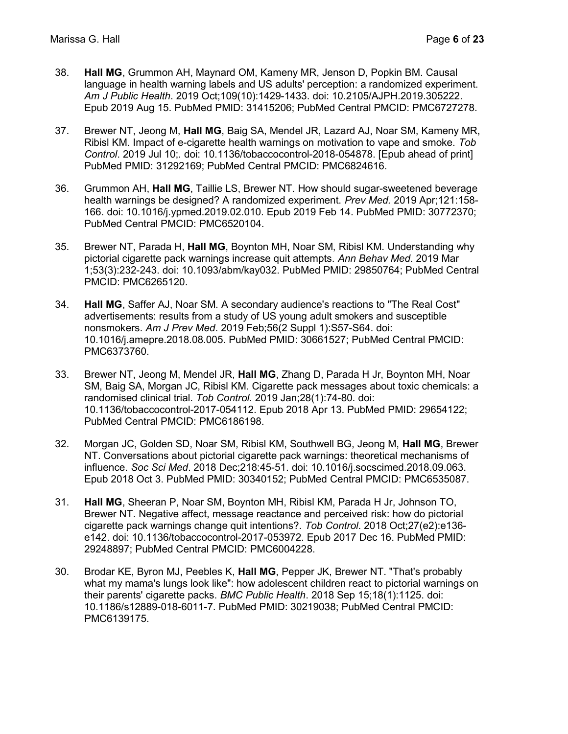- 38. Hall MG, Grummon AH, Maynard OM, Kameny MR, Jenson D, Popkin BM. Causal language in health warning labels and US adults' perception: a randomized experiment. Am J Public Health. 2019 Oct;109(10):1429-1433. doi: 10.2105/AJPH.2019.305222. Epub 2019 Aug 15. PubMed PMID: 31415206; PubMed Central PMCID: PMC6727278.
- 37. Brewer NT, Jeong M, Hall MG, Baig SA, Mendel JR, Lazard AJ, Noar SM, Kameny MR, Ribisl KM. Impact of e-cigarette health warnings on motivation to vape and smoke. Tob Control. 2019 Jul 10;. doi: 10.1136/tobaccocontrol-2018-054878. [Epub ahead of print] PubMed PMID: 31292169; PubMed Central PMCID: PMC6824616.
- 36. Grummon AH, Hall MG, Taillie LS, Brewer NT. How should sugar-sweetened beverage health warnings be designed? A randomized experiment. Prev Med. 2019 Apr;121:158- 166. doi: 10.1016/j.ypmed.2019.02.010. Epub 2019 Feb 14. PubMed PMID: 30772370; PubMed Central PMCID: PMC6520104.
- 35. Brewer NT, Parada H, Hall MG, Boynton MH, Noar SM, Ribisl KM. Understanding why pictorial cigarette pack warnings increase quit attempts. Ann Behav Med. 2019 Mar 1;53(3):232-243. doi: 10.1093/abm/kay032. PubMed PMID: 29850764; PubMed Central PMCID: PMC6265120.
- 34. Hall MG, Saffer AJ, Noar SM. A secondary audience's reactions to "The Real Cost" advertisements: results from a study of US young adult smokers and susceptible nonsmokers. Am J Prev Med. 2019 Feb;56(2 Suppl 1):S57-S64. doi: 10.1016/j.amepre.2018.08.005. PubMed PMID: 30661527; PubMed Central PMCID: PMC6373760.
- 33. Brewer NT, Jeong M, Mendel JR, Hall MG, Zhang D, Parada H Jr, Boynton MH, Noar SM, Baig SA, Morgan JC, Ribisl KM. Cigarette pack messages about toxic chemicals: a randomised clinical trial. Tob Control. 2019 Jan;28(1):74-80. doi: 10.1136/tobaccocontrol-2017-054112. Epub 2018 Apr 13. PubMed PMID: 29654122; PubMed Central PMCID: PMC6186198.
- 32. Morgan JC, Golden SD, Noar SM, Ribisl KM, Southwell BG, Jeong M, Hall MG, Brewer NT. Conversations about pictorial cigarette pack warnings: theoretical mechanisms of influence. Soc Sci Med. 2018 Dec;218:45-51. doi: 10.1016/j.socscimed.2018.09.063. Epub 2018 Oct 3. PubMed PMID: 30340152; PubMed Central PMCID: PMC6535087.
- 31. Hall MG, Sheeran P, Noar SM, Boynton MH, Ribisl KM, Parada H Jr, Johnson TO, Brewer NT. Negative affect, message reactance and perceived risk: how do pictorial cigarette pack warnings change quit intentions?. Tob Control. 2018 Oct;27(e2):e136 e142. doi: 10.1136/tobaccocontrol-2017-053972. Epub 2017 Dec 16. PubMed PMID: 29248897; PubMed Central PMCID: PMC6004228.
- 30. Brodar KE, Byron MJ, Peebles K, Hall MG, Pepper JK, Brewer NT. "That's probably what my mama's lungs look like": how adolescent children react to pictorial warnings on their parents' cigarette packs. BMC Public Health. 2018 Sep 15;18(1):1125. doi: 10.1186/s12889-018-6011-7. PubMed PMID: 30219038; PubMed Central PMCID: PMC6139175.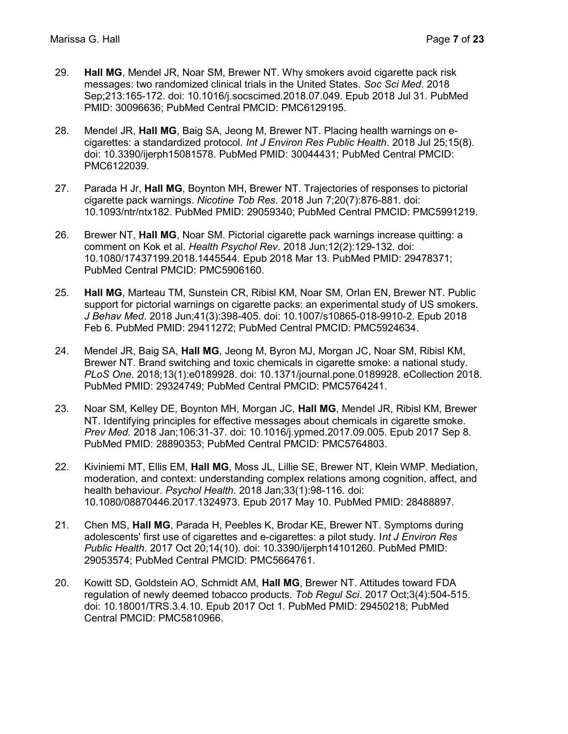- 29. Hall MG, Mendel JR, Noar SM, Brewer NT. Why smokers avoid cigarette pack risk messages: two randomized clinical trials in the United States. Soc Sci Med. 2018 Sep;213:165-172. doi: 10.1016/j.socscimed.2018.07.049. Epub 2018 Jul 31. PubMed PMID: 30096636; PubMed Central PMCID: PMC6129195.
- 28. Mendel JR, Hall MG, Baig SA, Jeong M, Brewer NT. Placing health warnings on ecigarettes: a standardized protocol. Int J Environ Res Public Health. 2018 Jul 25;15(8). doi: 10.3390/ijerph15081578. PubMed PMID: 30044431; PubMed Central PMCID: PMC6122039.
- 27. Parada H Jr, Hall MG, Boynton MH, Brewer NT. Trajectories of responses to pictorial cigarette pack warnings. Nicotine Tob Res. 2018 Jun 7;20(7):876-881. doi: 10.1093/ntr/ntx182. PubMed PMID: 29059340; PubMed Central PMCID: PMC5991219.
- 26. Brewer NT, Hall MG, Noar SM. Pictorial cigarette pack warnings increase quitting: a comment on Kok et al. Health Psychol Rev. 2018 Jun;12(2):129-132. doi: 10.1080/17437199.2018.1445544. Epub 2018 Mar 13. PubMed PMID: 29478371; PubMed Central PMCID: PMC5906160.
- 25. Hall MG, Marteau TM, Sunstein CR, Ribisl KM, Noar SM, Orlan EN, Brewer NT. Public support for pictorial warnings on cigarette packs: an experimental study of US smokers. J Behav Med. 2018 Jun;41(3):398-405. doi: 10.1007/s10865-018-9910-2. Epub 2018 Feb 6. PubMed PMID: 29411272; PubMed Central PMCID: PMC5924634.
- 24. Mendel JR, Baig SA, Hall MG, Jeong M, Byron MJ, Morgan JC, Noar SM, Ribisl KM, Brewer NT. Brand switching and toxic chemicals in cigarette smoke: a national study. PLoS One. 2018;13(1):e0189928. doi: 10.1371/journal.pone.0189928. eCollection 2018. PubMed PMID: 29324749; PubMed Central PMCID: PMC5764241.
- 23. Noar SM, Kelley DE, Boynton MH, Morgan JC, Hall MG, Mendel JR, Ribisl KM, Brewer NT. Identifying principles for effective messages about chemicals in cigarette smoke. Prev Med. 2018 Jan;106:31-37. doi: 10.1016/j.ypmed.2017.09.005. Epub 2017 Sep 8. PubMed PMID: 28890353; PubMed Central PMCID: PMC5764803.
- 22. Kiviniemi MT, Ellis EM, Hall MG, Moss JL, Lillie SE, Brewer NT, Klein WMP. Mediation, moderation, and context: understanding complex relations among cognition, affect, and health behaviour. Psychol Health. 2018 Jan;33(1):98-116. doi: 10.1080/08870446.2017.1324973. Epub 2017 May 10. PubMed PMID: 28488897.
- 21. Chen MS, Hall MG, Parada H, Peebles K, Brodar KE, Brewer NT. Symptoms during adolescents' first use of cigarettes and e-cigarettes: a pilot study. Int J Environ Res Public Health. 2017 Oct 20;14(10). doi: 10.3390/ijerph14101260. PubMed PMID: 29053574; PubMed Central PMCID: PMC5664761.
- 20. Kowitt SD, Goldstein AO, Schmidt AM, Hall MG, Brewer NT. Attitudes toward FDA regulation of newly deemed tobacco products. Tob Regul Sci. 2017 Oct;3(4):504-515. doi: 10.18001/TRS.3.4.10. Epub 2017 Oct 1. PubMed PMID: 29450218; PubMed Central PMCID: PMC5810966.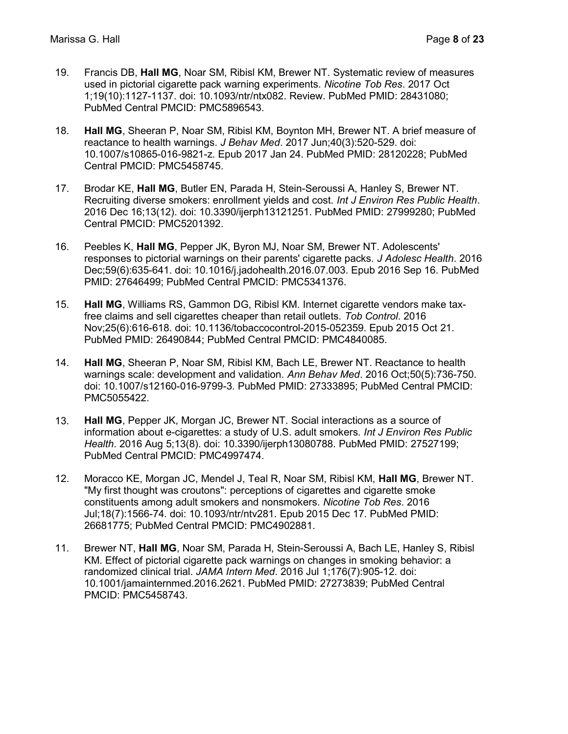- 19. Francis DB, Hall MG, Noar SM, Ribisl KM, Brewer NT. Systematic review of measures used in pictorial cigarette pack warning experiments. Nicotine Tob Res. 2017 Oct 1;19(10):1127-1137. doi: 10.1093/ntr/ntx082. Review. PubMed PMID: 28431080; PubMed Central PMCID: PMC5896543.
- 18. Hall MG, Sheeran P, Noar SM, Ribisl KM, Boynton MH, Brewer NT. A brief measure of reactance to health warnings. J Behav Med. 2017 Jun;40(3):520-529. doi: 10.1007/s10865-016-9821-z. Epub 2017 Jan 24. PubMed PMID: 28120228; PubMed Central PMCID: PMC5458745.
- 17. Brodar KE, Hall MG, Butler EN, Parada H, Stein-Seroussi A, Hanley S, Brewer NT. Recruiting diverse smokers: enrollment yields and cost. Int J Environ Res Public Health. 2016 Dec 16;13(12). doi: 10.3390/ijerph13121251. PubMed PMID: 27999280; PubMed Central PMCID: PMC5201392.
- 16. Peebles K, Hall MG, Pepper JK, Byron MJ, Noar SM, Brewer NT. Adolescents' responses to pictorial warnings on their parents' cigarette packs. J Adolesc Health. 2016 Dec;59(6):635-641. doi: 10.1016/j.jadohealth.2016.07.003. Epub 2016 Sep 16. PubMed PMID: 27646499; PubMed Central PMCID: PMC5341376.
- 15. Hall MG, Williams RS, Gammon DG, Ribisl KM. Internet cigarette vendors make taxfree claims and sell cigarettes cheaper than retail outlets. Tob Control. 2016 Nov;25(6):616-618. doi: 10.1136/tobaccocontrol-2015-052359. Epub 2015 Oct 21. PubMed PMID: 26490844; PubMed Central PMCID: PMC4840085.
- 14. Hall MG, Sheeran P, Noar SM, Ribisl KM, Bach LE, Brewer NT. Reactance to health warnings scale: development and validation. Ann Behav Med. 2016 Oct;50(5):736-750. doi: 10.1007/s12160-016-9799-3. PubMed PMID: 27333895; PubMed Central PMCID: PMC5055422.
- 13. Hall MG, Pepper JK, Morgan JC, Brewer NT. Social interactions as a source of information about e-cigarettes: a study of U.S. adult smokers. Int J Environ Res Public Health. 2016 Aug 5;13(8). doi: 10.3390/ijerph13080788. PubMed PMID: 27527199; PubMed Central PMCID: PMC4997474.
- 12. Moracco KE, Morgan JC, Mendel J, Teal R, Noar SM, Ribisl KM, Hall MG, Brewer NT. "My first thought was croutons": perceptions of cigarettes and cigarette smoke constituents among adult smokers and nonsmokers. Nicotine Tob Res. 2016 Jul;18(7):1566-74. doi: 10.1093/ntr/ntv281. Epub 2015 Dec 17. PubMed PMID: 26681775; PubMed Central PMCID: PMC4902881.
- 11. Brewer NT, Hall MG, Noar SM, Parada H, Stein-Seroussi A, Bach LE, Hanley S, Ribisl KM. Effect of pictorial cigarette pack warnings on changes in smoking behavior: a randomized clinical trial. JAMA Intern Med. 2016 Jul 1;176(7):905-12. doi: 10.1001/jamainternmed.2016.2621. PubMed PMID: 27273839; PubMed Central PMCID: PMC5458743.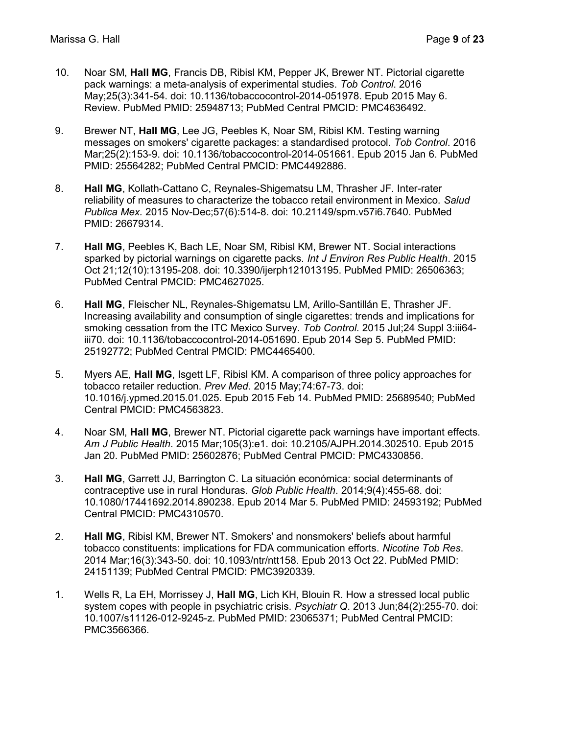- 10. Noar SM, Hall MG, Francis DB, Ribisl KM, Pepper JK, Brewer NT. Pictorial cigarette pack warnings: a meta-analysis of experimental studies. Tob Control. 2016 May;25(3):341-54. doi: 10.1136/tobaccocontrol-2014-051978. Epub 2015 May 6. Review. PubMed PMID: 25948713; PubMed Central PMCID: PMC4636492.
- 9. Brewer NT, Hall MG, Lee JG, Peebles K, Noar SM, Ribisl KM. Testing warning messages on smokers' cigarette packages: a standardised protocol. Tob Control. 2016 Mar;25(2):153-9. doi: 10.1136/tobaccocontrol-2014-051661. Epub 2015 Jan 6. PubMed PMID: 25564282; PubMed Central PMCID: PMC4492886.
- 8. Hall MG, Kollath-Cattano C, Reynales-Shigematsu LM, Thrasher JF. Inter-rater reliability of measures to characterize the tobacco retail environment in Mexico. Salud Publica Mex. 2015 Nov-Dec;57(6):514-8. doi: 10.21149/spm.v57i6.7640. PubMed PMID: 26679314.
- 7. Hall MG, Peebles K, Bach LE, Noar SM, Ribisl KM, Brewer NT. Social interactions sparked by pictorial warnings on cigarette packs. Int J Environ Res Public Health. 2015 Oct 21;12(10):13195-208. doi: 10.3390/ijerph121013195. PubMed PMID: 26506363; PubMed Central PMCID: PMC4627025.
- 6. Hall MG, Fleischer NL, Reynales-Shigematsu LM, Arillo-Santillán E, Thrasher JF. Increasing availability and consumption of single cigarettes: trends and implications for smoking cessation from the ITC Mexico Survey. Tob Control. 2015 Jul;24 Suppl 3:iii64iii70. doi: 10.1136/tobaccocontrol-2014-051690. Epub 2014 Sep 5. PubMed PMID: 25192772; PubMed Central PMCID: PMC4465400.
- 5. Myers AE, Hall MG, Isgett LF, Ribisl KM. A comparison of three policy approaches for tobacco retailer reduction. Prev Med. 2015 May;74:67-73. doi: 10.1016/j.ypmed.2015.01.025. Epub 2015 Feb 14. PubMed PMID: 25689540; PubMed Central PMCID: PMC4563823.
- 4. Noar SM, Hall MG, Brewer NT. Pictorial cigarette pack warnings have important effects. Am J Public Health. 2015 Mar;105(3):e1. doi: 10.2105/AJPH.2014.302510. Epub 2015 Jan 20. PubMed PMID: 25602876; PubMed Central PMCID: PMC4330856.
- 3. Hall MG, Garrett JJ, Barrington C. La situación económica: social determinants of contraceptive use in rural Honduras. Glob Public Health. 2014;9(4):455-68. doi: 10.1080/17441692.2014.890238. Epub 2014 Mar 5. PubMed PMID: 24593192; PubMed Central PMCID: PMC4310570.
- 2. Hall MG, Ribisl KM, Brewer NT. Smokers' and nonsmokers' beliefs about harmful tobacco constituents: implications for FDA communication efforts. Nicotine Tob Res. 2014 Mar;16(3):343-50. doi: 10.1093/ntr/ntt158. Epub 2013 Oct 22. PubMed PMID: 24151139; PubMed Central PMCID: PMC3920339.
- 1. Wells R, La EH, Morrissey J, Hall MG, Lich KH, Blouin R. How a stressed local public system copes with people in psychiatric crisis. Psychiatr Q. 2013 Jun;84(2):255-70. doi: 10.1007/s11126-012-9245-z. PubMed PMID: 23065371; PubMed Central PMCID: PMC3566366.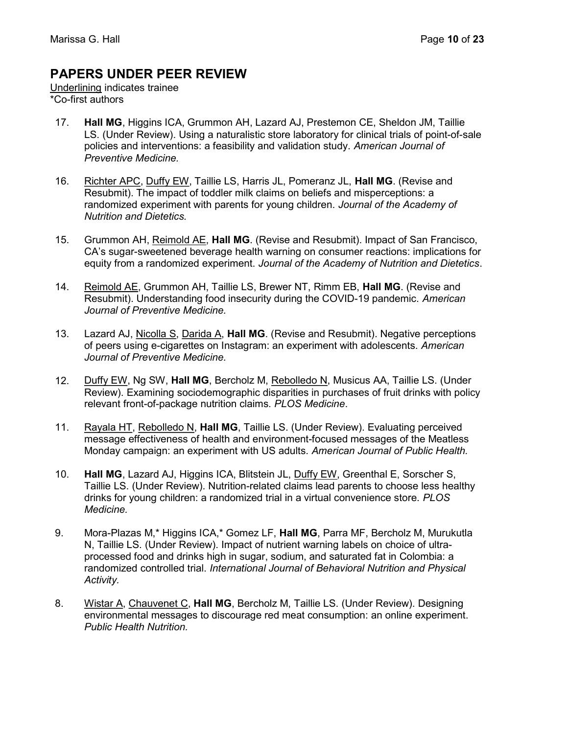### PAPERS UNDER PEER REVIEW

Underlining indicates trainee \*Co-first authors

- 17. Hall MG, Higgins ICA, Grummon AH, Lazard AJ, Prestemon CE, Sheldon JM, Taillie LS. (Under Review). Using a naturalistic store laboratory for clinical trials of point-of-sale policies and interventions: a feasibility and validation study. American Journal of Preventive Medicine.
- 16. Richter APC, Duffy EW, Taillie LS, Harris JL, Pomeranz JL, Hall MG. (Revise and Resubmit). The impact of toddler milk claims on beliefs and misperceptions: a randomized experiment with parents for young children. Journal of the Academy of Nutrition and Dietetics.
- 15. Grummon AH, Reimold AE, Hall MG. (Revise and Resubmit). Impact of San Francisco, CA's sugar-sweetened beverage health warning on consumer reactions: implications for equity from a randomized experiment. Journal of the Academy of Nutrition and Dietetics.
- 14. Reimold AE, Grummon AH, Taillie LS, Brewer NT, Rimm EB, Hall MG. (Revise and Resubmit). Understanding food insecurity during the COVID-19 pandemic. American Journal of Preventive Medicine.
- 13. Lazard AJ, Nicolla S, Darida A, Hall MG. (Revise and Resubmit). Negative perceptions of peers using e-cigarettes on Instagram: an experiment with adolescents. American Journal of Preventive Medicine.
- 12. Duffy EW, Ng SW, Hall MG, Bercholz M, Rebolledo N, Musicus AA, Taillie LS. (Under Review). Examining sociodemographic disparities in purchases of fruit drinks with policy relevant front-of-package nutrition claims. PLOS Medicine.
- 11. Rayala HT, Rebolledo N, Hall MG, Taillie LS. (Under Review). Evaluating perceived message effectiveness of health and environment-focused messages of the Meatless Monday campaign: an experiment with US adults. American Journal of Public Health.
- 10. Hall MG, Lazard AJ, Higgins ICA, Blitstein JL, Duffy EW, Greenthal E, Sorscher S, Taillie LS. (Under Review). Nutrition-related claims lead parents to choose less healthy drinks for young children: a randomized trial in a virtual convenience store. PLOS Medicine.
- 9. Mora-Plazas M,\* Higgins ICA,\* Gomez LF, Hall MG, Parra MF, Bercholz M, Murukutla N, Taillie LS. (Under Review). Impact of nutrient warning labels on choice of ultraprocessed food and drinks high in sugar, sodium, and saturated fat in Colombia: a randomized controlled trial. International Journal of Behavioral Nutrition and Physical Activity.
- 8. Wistar A, Chauvenet C, Hall MG, Bercholz M, Taillie LS. (Under Review). Designing environmental messages to discourage red meat consumption: an online experiment. Public Health Nutrition.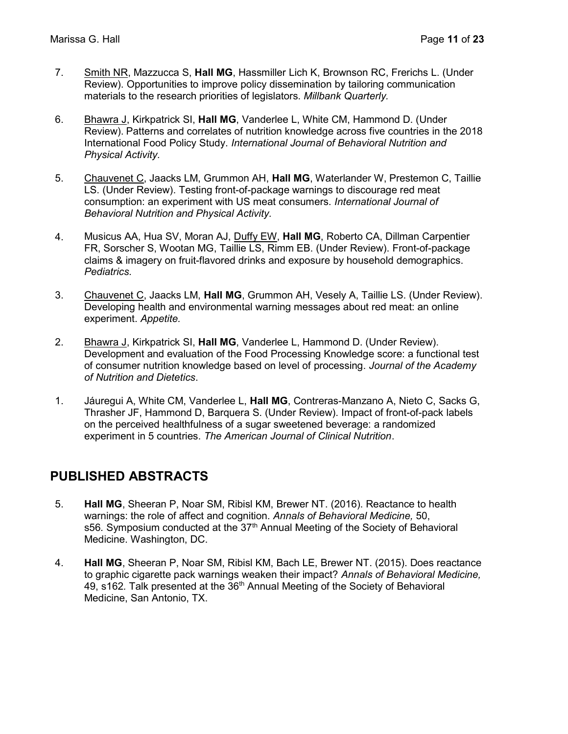- 7. Smith NR, Mazzucca S, Hall MG, Hassmiller Lich K, Brownson RC, Frerichs L. (Under Review). Opportunities to improve policy dissemination by tailoring communication materials to the research priorities of legislators. Millbank Quarterly.
- 6. Bhawra J, Kirkpatrick SI, Hall MG, Vanderlee L, White CM, Hammond D. (Under Review). Patterns and correlates of nutrition knowledge across five countries in the 2018 International Food Policy Study. International Journal of Behavioral Nutrition and Physical Activity.
- 5. Chauvenet C, Jaacks LM, Grummon AH, Hall MG, Waterlander W, Prestemon C, Taillie LS. (Under Review). Testing front-of-package warnings to discourage red meat consumption: an experiment with US meat consumers. International Journal of Behavioral Nutrition and Physical Activity.
- 4. Musicus AA, Hua SV, Moran AJ, Duffy EW, **Hall MG**, Roberto CA, Dillman Carpentier FR, Sorscher S, Wootan MG, Taillie LS, Rimm EB. (Under Review). Front-of-package claims & imagery on fruit-flavored drinks and exposure by household demographics. Pediatrics.
- 3. Chauvenet C, Jaacks LM, Hall MG, Grummon AH, Vesely A, Taillie LS. (Under Review). Developing health and environmental warning messages about red meat: an online experiment. Appetite.
- 2. Bhawra J, Kirkpatrick SI, Hall MG, Vanderlee L, Hammond D. (Under Review). Development and evaluation of the Food Processing Knowledge score: a functional test of consumer nutrition knowledge based on level of processing. Journal of the Academy of Nutrition and Dietetics.
- 1. Jáuregui A, White CM, Vanderlee L, Hall MG, Contreras-Manzano A, Nieto C, Sacks G, Thrasher JF, Hammond D, Barquera S. (Under Review). Impact of front-of-pack labels on the perceived healthfulness of a sugar sweetened beverage: a randomized experiment in 5 countries. The American Journal of Clinical Nutrition.

### PUBLISHED ABSTRACTS

- 5. Hall MG, Sheeran P, Noar SM, Ribisl KM, Brewer NT. (2016). Reactance to health warnings: the role of affect and cognition. Annals of Behavioral Medicine, 50, s56. Symposium conducted at the  $37<sup>th</sup>$  Annual Meeting of the Society of Behavioral Medicine. Washington, DC.
- 4. Hall MG, Sheeran P, Noar SM, Ribisl KM, Bach LE, Brewer NT. (2015). Does reactance to graphic cigarette pack warnings weaken their impact? Annals of Behavioral Medicine, 49, s162. Talk presented at the 36<sup>th</sup> Annual Meeting of the Society of Behavioral Medicine, San Antonio, TX.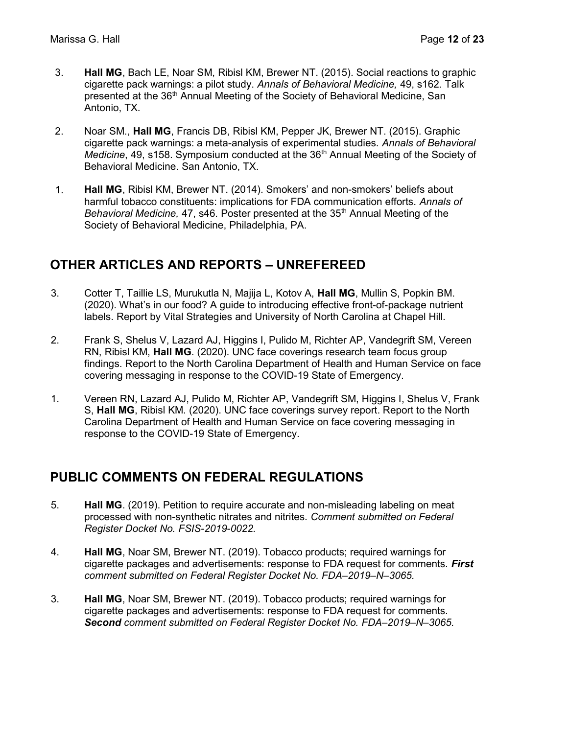- 3. Hall MG, Bach LE, Noar SM, Ribisl KM, Brewer NT. (2015). Social reactions to graphic cigarette pack warnings: a pilot study. Annals of Behavioral Medicine, 49, s162. Talk presented at the 36th Annual Meeting of the Society of Behavioral Medicine, San Antonio, TX.
- 2. Noar SM., Hall MG, Francis DB, Ribisl KM, Pepper JK, Brewer NT. (2015). Graphic cigarette pack warnings: a meta-analysis of experimental studies. Annals of Behavioral *Medicine, 49, s158. Symposium conducted at the 36<sup>th</sup> Annual Meeting of the Society of* Behavioral Medicine. San Antonio, TX.
- 1. Hall MG, Ribisl KM, Brewer NT. (2014). Smokers' and non-smokers' beliefs about harmful tobacco constituents: implications for FDA communication efforts. Annals of Behavioral Medicine, 47, s46. Poster presented at the  $35<sup>th</sup>$  Annual Meeting of the Society of Behavioral Medicine, Philadelphia, PA.

### OTHER ARTICLES AND REPORTS – UNREFEREED

- 3. Cotter T, Taillie LS, Murukutla N, Majija L, Kotov A, Hall MG, Mullin S, Popkin BM. (2020). What's in our food? A guide to introducing effective front-of-package nutrient labels. Report by Vital Strategies and University of North Carolina at Chapel Hill.
- 2. Frank S, Shelus V, Lazard AJ, Higgins I, Pulido M, Richter AP, Vandegrift SM, Vereen RN, Ribisl KM, Hall MG. (2020). UNC face coverings research team focus group findings. Report to the North Carolina Department of Health and Human Service on face covering messaging in response to the COVID-19 State of Emergency.
- 1. Vereen RN, Lazard AJ, Pulido M, Richter AP, Vandegrift SM, Higgins I, Shelus V, Frank S, Hall MG, Ribisl KM. (2020). UNC face coverings survey report. Report to the North Carolina Department of Health and Human Service on face covering messaging in response to the COVID-19 State of Emergency.

# PUBLIC COMMENTS ON FEDERAL REGULATIONS

- 5. Hall MG. (2019). Petition to require accurate and non-misleading labeling on meat processed with non-synthetic nitrates and nitrites. Comment submitted on Federal Register Docket No. FSIS-2019-0022.
- 4. **Hall MG, Noar SM, Brewer NT. (2019). Tobacco products; required warnings for** cigarette packages and advertisements: response to FDA request for comments. First comment submitted on Federal Register Docket No. FDA–2019–N–3065.
- 3. Hall MG, Noar SM, Brewer NT. (2019). Tobacco products; required warnings for cigarette packages and advertisements: response to FDA request for comments. Second comment submitted on Federal Register Docket No. FDA–2019–N–3065.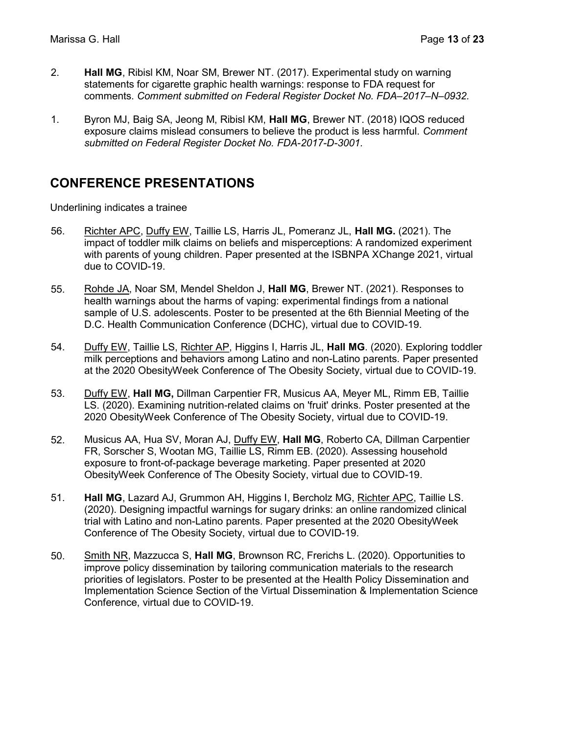- 2. Hall MG, Ribisl KM, Noar SM, Brewer NT. (2017). Experimental study on warning statements for cigarette graphic health warnings: response to FDA request for comments. Comment submitted on Federal Register Docket No. FDA–2017–N–0932.
- 1. Byron MJ, Baig SA, Jeong M, Ribisl KM, Hall MG, Brewer NT. (2018) IQOS reduced exposure claims mislead consumers to believe the product is less harmful. Comment submitted on Federal Register Docket No. FDA-2017-D-3001.

### CONFERENCE PRESENTATIONS

Underlining indicates a trainee

- 56. Richter APC, Duffy EW, Taillie LS, Harris JL, Pomeranz JL, Hall MG. (2021). The impact of toddler milk claims on beliefs and misperceptions: A randomized experiment with parents of young children. Paper presented at the ISBNPA XChange 2021, virtual due to COVID-19.
- 55. Rohde JA, Noar SM, Mendel Sheldon J, Hall MG, Brewer NT. (2021). Responses to health warnings about the harms of vaping: experimental findings from a national sample of U.S. adolescents. Poster to be presented at the 6th Biennial Meeting of the D.C. Health Communication Conference (DCHC), virtual due to COVID-19.
- 54. Duffy EW, Taillie LS, Richter AP, Higgins I, Harris JL, Hall MG. (2020). Exploring toddler milk perceptions and behaviors among Latino and non-Latino parents. Paper presented at the 2020 ObesityWeek Conference of The Obesity Society, virtual due to COVID-19.
- 53. Duffy EW, Hall MG, Dillman Carpentier FR, Musicus AA, Meyer ML, Rimm EB, Taillie LS. (2020). Examining nutrition-related claims on 'fruit' drinks. Poster presented at the 2020 ObesityWeek Conference of The Obesity Society, virtual due to COVID-19.
- 52. Musicus AA, Hua SV, Moran AJ, Duffy EW, Hall MG, Roberto CA, Dillman Carpentier FR, Sorscher S, Wootan MG, Taillie LS, Rimm EB. (2020). Assessing household exposure to front-of-package beverage marketing. Paper presented at 2020 ObesityWeek Conference of The Obesity Society, virtual due to COVID-19.
- 51. Hall MG, Lazard AJ, Grummon AH, Higgins I, Bercholz MG, Richter APC, Taillie LS. (2020). Designing impactful warnings for sugary drinks: an online randomized clinical trial with Latino and non-Latino parents. Paper presented at the 2020 ObesityWeek Conference of The Obesity Society, virtual due to COVID-19.
- 50. Smith NR, Mazzucca S, Hall MG, Brownson RC, Frerichs L. (2020). Opportunities to improve policy dissemination by tailoring communication materials to the research priorities of legislators. Poster to be presented at the Health Policy Dissemination and Implementation Science Section of the Virtual Dissemination & Implementation Science Conference, virtual due to COVID-19.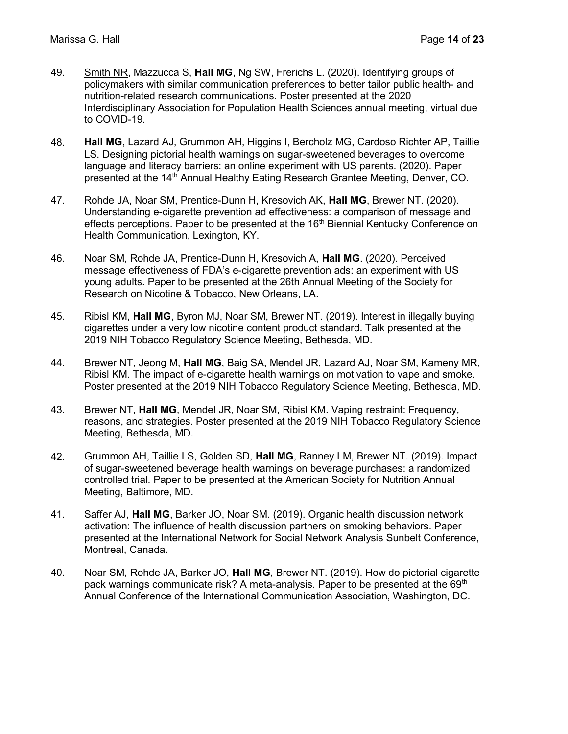- 49. Smith NR, Mazzucca S, Hall MG, Ng SW, Frerichs L. (2020). Identifying groups of policymakers with similar communication preferences to better tailor public health- and nutrition-related research communications. Poster presented at the 2020 Interdisciplinary Association for Population Health Sciences annual meeting, virtual due to COVID-19.
- 48. Hall MG, Lazard AJ, Grummon AH, Higgins I, Bercholz MG, Cardoso Richter AP, Taillie LS. Designing pictorial health warnings on sugar-sweetened beverages to overcome language and literacy barriers: an online experiment with US parents. (2020). Paper presented at the 14<sup>th</sup> Annual Healthy Eating Research Grantee Meeting, Denver, CO.
- 47. Rohde JA, Noar SM, Prentice-Dunn H, Kresovich AK, Hall MG, Brewer NT. (2020). Understanding e-cigarette prevention ad effectiveness: a comparison of message and effects perceptions. Paper to be presented at the 16<sup>th</sup> Biennial Kentucky Conference on Health Communication, Lexington, KY.
- 46. Noar SM, Rohde JA, Prentice-Dunn H, Kresovich A, Hall MG. (2020). Perceived message effectiveness of FDA's e-cigarette prevention ads: an experiment with US young adults. Paper to be presented at the 26th Annual Meeting of the Society for Research on Nicotine & Tobacco, New Orleans, LA.
- 45. Ribisl KM, Hall MG, Byron MJ, Noar SM, Brewer NT. (2019). Interest in illegally buying cigarettes under a very low nicotine content product standard. Talk presented at the 2019 NIH Tobacco Regulatory Science Meeting, Bethesda, MD.
- 44. Brewer NT, Jeong M, Hall MG, Baig SA, Mendel JR, Lazard AJ, Noar SM, Kameny MR, Ribisl KM. The impact of e-cigarette health warnings on motivation to vape and smoke. Poster presented at the 2019 NIH Tobacco Regulatory Science Meeting, Bethesda, MD.
- 43. Brewer NT, Hall MG, Mendel JR, Noar SM, Ribisl KM. Vaping restraint: Frequency, reasons, and strategies. Poster presented at the 2019 NIH Tobacco Regulatory Science Meeting, Bethesda, MD.
- 42. Grummon AH, Taillie LS, Golden SD, Hall MG, Ranney LM, Brewer NT. (2019). Impact of sugar-sweetened beverage health warnings on beverage purchases: a randomized controlled trial. Paper to be presented at the American Society for Nutrition Annual Meeting, Baltimore, MD.
- 41. Saffer AJ, Hall MG, Barker JO, Noar SM. (2019). Organic health discussion network activation: The influence of health discussion partners on smoking behaviors. Paper presented at the International Network for Social Network Analysis Sunbelt Conference, Montreal, Canada.
- 40. Noar SM, Rohde JA, Barker JO, Hall MG, Brewer NT. (2019). How do pictorial cigarette pack warnings communicate risk? A meta-analysis. Paper to be presented at the 69<sup>th</sup> Annual Conference of the International Communication Association, Washington, DC.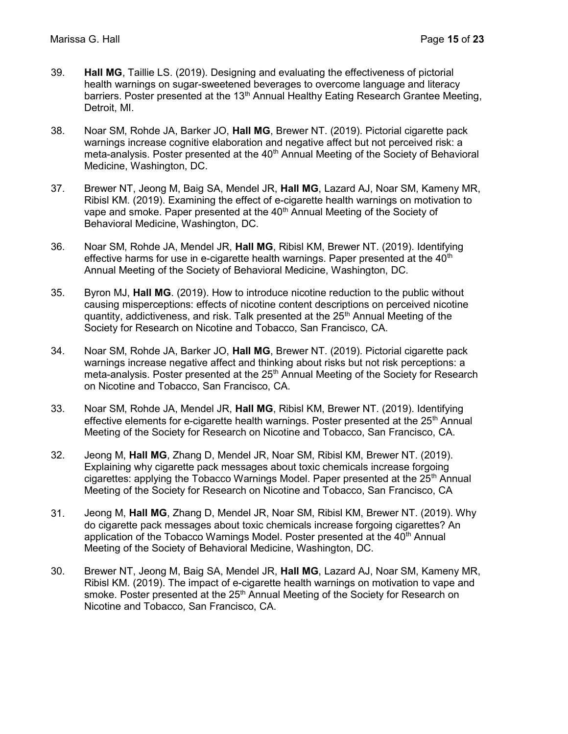- 39. Hall MG, Taillie LS. (2019). Designing and evaluating the effectiveness of pictorial health warnings on sugar-sweetened beverages to overcome language and literacy barriers. Poster presented at the 13<sup>th</sup> Annual Healthy Eating Research Grantee Meeting, Detroit, MI.
- 38. Noar SM, Rohde JA, Barker JO, Hall MG, Brewer NT. (2019). Pictorial cigarette pack warnings increase cognitive elaboration and negative affect but not perceived risk: a meta-analysis. Poster presented at the 40<sup>th</sup> Annual Meeting of the Society of Behavioral Medicine, Washington, DC.
- 37. Brewer NT, Jeong M, Baig SA, Mendel JR, Hall MG, Lazard AJ, Noar SM, Kameny MR, Ribisl KM. (2019). Examining the effect of e-cigarette health warnings on motivation to vape and smoke. Paper presented at the 40<sup>th</sup> Annual Meeting of the Society of Behavioral Medicine, Washington, DC.
- 36. Noar SM, Rohde JA, Mendel JR, Hall MG, Ribisl KM, Brewer NT. (2019). Identifying effective harms for use in e-cigarette health warnings. Paper presented at the  $40<sup>th</sup>$ Annual Meeting of the Society of Behavioral Medicine, Washington, DC.
- 35. Byron MJ, Hall MG. (2019). How to introduce nicotine reduction to the public without causing misperceptions: effects of nicotine content descriptions on perceived nicotine quantity, addictiveness, and risk. Talk presented at the 25<sup>th</sup> Annual Meeting of the Society for Research on Nicotine and Tobacco, San Francisco, CA.
- 34. Noar SM, Rohde JA, Barker JO, Hall MG, Brewer NT. (2019). Pictorial cigarette pack warnings increase negative affect and thinking about risks but not risk perceptions: a meta-analysis. Poster presented at the  $25<sup>th</sup>$  Annual Meeting of the Society for Research on Nicotine and Tobacco, San Francisco, CA.
- 33. Noar SM, Rohde JA, Mendel JR, Hall MG, Ribisl KM, Brewer NT. (2019). Identifying effective elements for e-cigarette health warnings. Poster presented at the  $25<sup>th</sup>$  Annual Meeting of the Society for Research on Nicotine and Tobacco, San Francisco, CA.
- 32. Jeong M, Hall MG, Zhang D, Mendel JR, Noar SM, Ribisl KM, Brewer NT. (2019). Explaining why cigarette pack messages about toxic chemicals increase forgoing cigarettes: applying the Tobacco Warnings Model. Paper presented at the  $25<sup>th</sup>$  Annual Meeting of the Society for Research on Nicotine and Tobacco, San Francisco, CA
- 31. Jeong M, Hall MG, Zhang D, Mendel JR, Noar SM, Ribisl KM, Brewer NT. (2019). Why do cigarette pack messages about toxic chemicals increase forgoing cigarettes? An application of the Tobacco Warnings Model. Poster presented at the  $40<sup>th</sup>$  Annual Meeting of the Society of Behavioral Medicine, Washington, DC.
- 30. Brewer NT, Jeong M, Baig SA, Mendel JR, Hall MG, Lazard AJ, Noar SM, Kameny MR, Ribisl KM. (2019). The impact of e-cigarette health warnings on motivation to vape and smoke. Poster presented at the 25<sup>th</sup> Annual Meeting of the Society for Research on Nicotine and Tobacco, San Francisco, CA.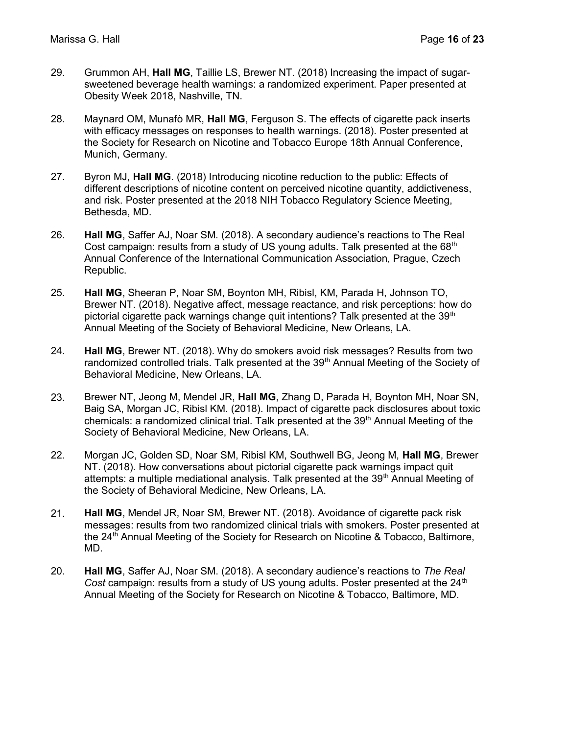- 29. Grummon AH, Hall MG, Taillie LS, Brewer NT. (2018) Increasing the impact of sugarsweetened beverage health warnings: a randomized experiment. Paper presented at Obesity Week 2018, Nashville, TN.
- 28. Maynard OM, Munafò MR, Hall MG, Ferguson S. The effects of cigarette pack inserts with efficacy messages on responses to health warnings. (2018). Poster presented at the Society for Research on Nicotine and Tobacco Europe 18th Annual Conference, Munich, Germany.
- 27. Byron MJ, Hall MG. (2018) Introducing nicotine reduction to the public: Effects of different descriptions of nicotine content on perceived nicotine quantity, addictiveness, and risk. Poster presented at the 2018 NIH Tobacco Regulatory Science Meeting, Bethesda, MD.
- 26. Hall MG, Saffer AJ, Noar SM. (2018). A secondary audience's reactions to The Real Cost campaign: results from a study of US young adults. Talk presented at the  $68<sup>th</sup>$ Annual Conference of the International Communication Association, Prague, Czech Republic.
- 25. Hall MG, Sheeran P, Noar SM, Boynton MH, Ribisl, KM, Parada H, Johnson TO, Brewer NT. (2018). Negative affect, message reactance, and risk perceptions: how do pictorial cigarette pack warnings change quit intentions? Talk presented at the  $39<sup>th</sup>$ Annual Meeting of the Society of Behavioral Medicine, New Orleans, LA.
- 24. **Hall MG**, Brewer NT. (2018). Why do smokers avoid risk messages? Results from two randomized controlled trials. Talk presented at the  $39<sup>th</sup>$  Annual Meeting of the Society of Behavioral Medicine, New Orleans, LA.
- 23. Brewer NT, Jeong M, Mendel JR, Hall MG, Zhang D, Parada H, Boynton MH, Noar SN, Baig SA, Morgan JC, Ribisl KM. (2018). Impact of cigarette pack disclosures about toxic chemicals: a randomized clinical trial. Talk presented at the  $39<sup>th</sup>$  Annual Meeting of the Society of Behavioral Medicine, New Orleans, LA.
- 22. Morgan JC, Golden SD, Noar SM, Ribisl KM, Southwell BG, Jeong M, Hall MG, Brewer NT. (2018). How conversations about pictorial cigarette pack warnings impact quit attempts: a multiple mediational analysis. Talk presented at the 39<sup>th</sup> Annual Meeting of the Society of Behavioral Medicine, New Orleans, LA.
- 21. Hall MG, Mendel JR, Noar SM, Brewer NT. (2018). Avoidance of cigarette pack risk messages: results from two randomized clinical trials with smokers. Poster presented at the 24<sup>th</sup> Annual Meeting of the Society for Research on Nicotine & Tobacco, Baltimore, MD.
- 20. **Hall MG**, Saffer AJ, Noar SM. (2018). A secondary audience's reactions to The Real Cost campaign: results from a study of US young adults. Poster presented at the  $24<sup>th</sup>$ Annual Meeting of the Society for Research on Nicotine & Tobacco, Baltimore, MD.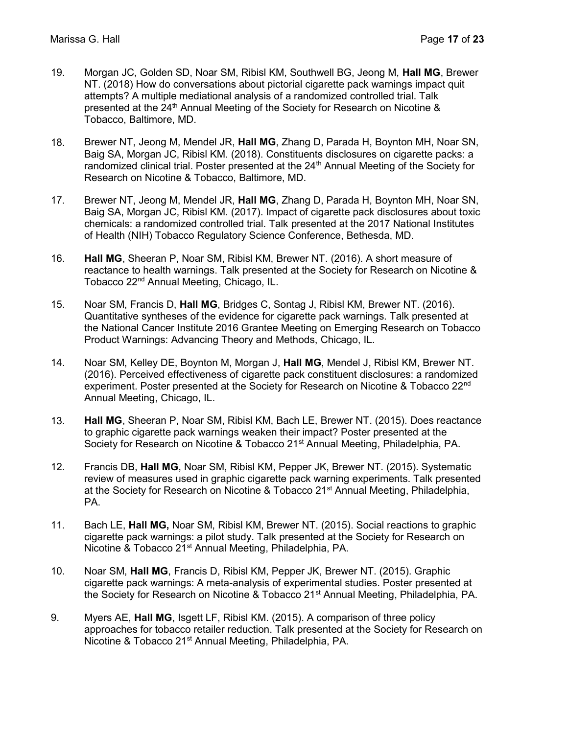- 19. Morgan JC, Golden SD, Noar SM, Ribisl KM, Southwell BG, Jeong M, Hall MG, Brewer NT. (2018) How do conversations about pictorial cigarette pack warnings impact quit attempts? A multiple mediational analysis of a randomized controlled trial. Talk presented at the 24<sup>th</sup> Annual Meeting of the Society for Research on Nicotine & Tobacco, Baltimore, MD.
- 18. Brewer NT, Jeong M, Mendel JR, Hall MG, Zhang D, Parada H, Boynton MH, Noar SN, Baig SA, Morgan JC, Ribisl KM. (2018). Constituents disclosures on cigarette packs: a randomized clinical trial. Poster presented at the 24<sup>th</sup> Annual Meeting of the Society for Research on Nicotine & Tobacco, Baltimore, MD.
- 17. Brewer NT, Jeong M, Mendel JR, Hall MG, Zhang D, Parada H, Boynton MH, Noar SN, Baig SA, Morgan JC, Ribisl KM. (2017). Impact of cigarette pack disclosures about toxic chemicals: a randomized controlled trial. Talk presented at the 2017 National Institutes of Health (NIH) Tobacco Regulatory Science Conference, Bethesda, MD.
- 16. Hall MG, Sheeran P, Noar SM, Ribisl KM, Brewer NT. (2016). A short measure of reactance to health warnings. Talk presented at the Society for Research on Nicotine & Tobacco 22nd Annual Meeting, Chicago, IL.
- 15. Noar SM, Francis D, Hall MG, Bridges C, Sontag J, Ribisl KM, Brewer NT. (2016). Quantitative syntheses of the evidence for cigarette pack warnings. Talk presented at the National Cancer Institute 2016 Grantee Meeting on Emerging Research on Tobacco Product Warnings: Advancing Theory and Methods, Chicago, IL.
- 14. Noar SM, Kelley DE, Boynton M, Morgan J, Hall MG, Mendel J, Ribisl KM, Brewer NT. (2016). Perceived effectiveness of cigarette pack constituent disclosures: a randomized experiment. Poster presented at the Society for Research on Nicotine & Tobacco 22<sup>nd</sup> Annual Meeting, Chicago, IL.
- 13. Hall MG, Sheeran P, Noar SM, Ribisl KM, Bach LE, Brewer NT. (2015). Does reactance to graphic cigarette pack warnings weaken their impact? Poster presented at the Society for Research on Nicotine & Tobacco 21<sup>st</sup> Annual Meeting, Philadelphia, PA.
- 12. Francis DB, Hall MG, Noar SM, Ribisl KM, Pepper JK, Brewer NT. (2015). Systematic review of measures used in graphic cigarette pack warning experiments. Talk presented at the Society for Research on Nicotine & Tobacco 21<sup>st</sup> Annual Meeting, Philadelphia, PA.
- 11. Bach LE, Hall MG, Noar SM, Ribisl KM, Brewer NT. (2015). Social reactions to graphic cigarette pack warnings: a pilot study. Talk presented at the Society for Research on Nicotine & Tobacco 21<sup>st</sup> Annual Meeting, Philadelphia, PA.
- 10. Noar SM, Hall MG, Francis D, Ribisl KM, Pepper JK, Brewer NT. (2015). Graphic cigarette pack warnings: A meta-analysis of experimental studies. Poster presented at the Society for Research on Nicotine & Tobacco 21<sup>st</sup> Annual Meeting, Philadelphia, PA.
- 9. Myers AE, Hall MG, Isgett LF, Ribisl KM. (2015). A comparison of three policy approaches for tobacco retailer reduction. Talk presented at the Society for Research on Nicotine & Tobacco 21st Annual Meeting, Philadelphia, PA.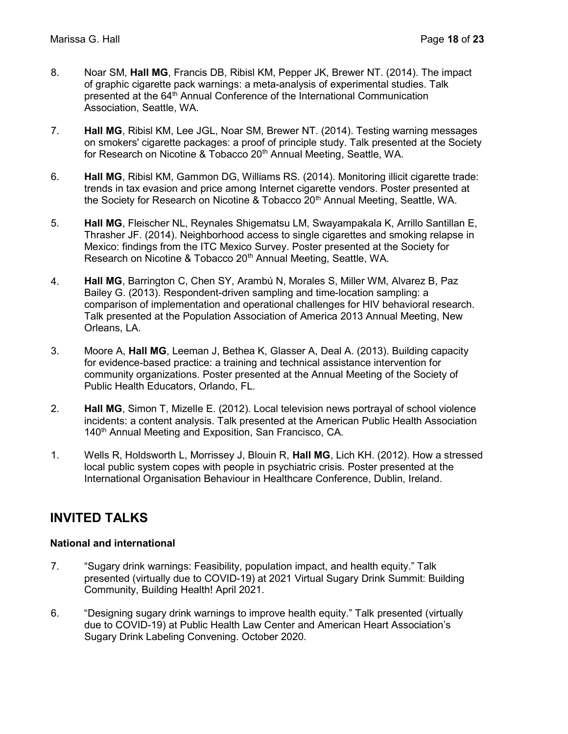- 8. Noar SM, Hall MG, Francis DB, Ribisl KM, Pepper JK, Brewer NT. (2014). The impact of graphic cigarette pack warnings: a meta-analysis of experimental studies. Talk presented at the 64<sup>th</sup> Annual Conference of the International Communication Association, Seattle, WA.
- 7. Hall MG, Ribisl KM, Lee JGL, Noar SM, Brewer NT. (2014). Testing warning messages on smokers' cigarette packages: a proof of principle study. Talk presented at the Society for Research on Nicotine & Tobacco 20<sup>th</sup> Annual Meeting, Seattle, WA.
- 6. Hall MG, Ribisl KM, Gammon DG, Williams RS. (2014). Monitoring illicit cigarette trade: trends in tax evasion and price among Internet cigarette vendors. Poster presented at the Society for Research on Nicotine & Tobacco 20<sup>th</sup> Annual Meeting, Seattle, WA.
- 5. Hall MG, Fleischer NL, Reynales Shigematsu LM, Swayampakala K, Arrillo Santillan E, Thrasher JF. (2014). Neighborhood access to single cigarettes and smoking relapse in Mexico: findings from the ITC Mexico Survey. Poster presented at the Society for Research on Nicotine & Tobacco 20<sup>th</sup> Annual Meeting, Seattle, WA.
- 4. Hall MG, Barrington C, Chen SY, Arambú N, Morales S, Miller WM, Alvarez B, Paz Bailey G. (2013). Respondent-driven sampling and time-location sampling: a comparison of implementation and operational challenges for HIV behavioral research. Talk presented at the Population Association of America 2013 Annual Meeting, New Orleans, LA.
- 3. Moore A, Hall MG, Leeman J, Bethea K, Glasser A, Deal A. (2013). Building capacity for evidence-based practice: a training and technical assistance intervention for community organizations. Poster presented at the Annual Meeting of the Society of Public Health Educators, Orlando, FL.
- 2. **Hall MG**, Simon T, Mizelle E. (2012). Local television news portrayal of school violence incidents: a content analysis. Talk presented at the American Public Health Association 140<sup>th</sup> Annual Meeting and Exposition, San Francisco, CA.
- 1. Wells R, Holdsworth L, Morrissey J, Blouin R, Hall MG, Lich KH. (2012). How a stressed local public system copes with people in psychiatric crisis. Poster presented at the International Organisation Behaviour in Healthcare Conference, Dublin, Ireland.

### INVITED TALKS

#### National and international

- 7. "Sugary drink warnings: Feasibility, population impact, and health equity." Talk presented (virtually due to COVID-19) at 2021 Virtual Sugary Drink Summit: Building Community, Building Health! April 2021.
- 6. "Designing sugary drink warnings to improve health equity." Talk presented (virtually due to COVID-19) at Public Health Law Center and American Heart Association's Sugary Drink Labeling Convening. October 2020.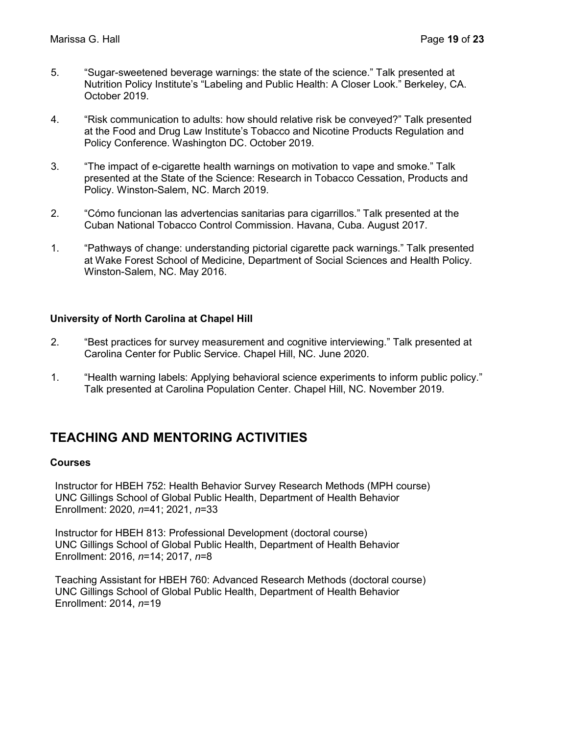- 5. "Sugar-sweetened beverage warnings: the state of the science." Talk presented at Nutrition Policy Institute's "Labeling and Public Health: A Closer Look." Berkeley, CA. October 2019.
- 4. "Risk communication to adults: how should relative risk be conveyed?" Talk presented at the Food and Drug Law Institute's Tobacco and Nicotine Products Regulation and Policy Conference. Washington DC. October 2019.
- 3. "The impact of e-cigarette health warnings on motivation to vape and smoke." Talk presented at the State of the Science: Research in Tobacco Cessation, Products and Policy. Winston-Salem, NC. March 2019.
- 2. "Cómo funcionan las advertencias sanitarias para cigarrillos." Talk presented at the Cuban National Tobacco Control Commission. Havana, Cuba. August 2017.
- 1. "Pathways of change: understanding pictorial cigarette pack warnings." Talk presented at Wake Forest School of Medicine, Department of Social Sciences and Health Policy. Winston-Salem, NC. May 2016.

#### University of North Carolina at Chapel Hill

- 2. "Best practices for survey measurement and cognitive interviewing." Talk presented at Carolina Center for Public Service. Chapel Hill, NC. June 2020.
- 1. "Health warning labels: Applying behavioral science experiments to inform public policy." Talk presented at Carolina Population Center. Chapel Hill, NC. November 2019.

### TEACHING AND MENTORING ACTIVITIES

#### Courses

Instructor for HBEH 752: Health Behavior Survey Research Methods (MPH course) UNC Gillings School of Global Public Health, Department of Health Behavior Enrollment: 2020, n=41; 2021, n=33

Instructor for HBEH 813: Professional Development (doctoral course) UNC Gillings School of Global Public Health, Department of Health Behavior Enrollment: 2016, n=14; 2017, n=8

Teaching Assistant for HBEH 760: Advanced Research Methods (doctoral course) UNC Gillings School of Global Public Health, Department of Health Behavior Enrollment: 2014, n=19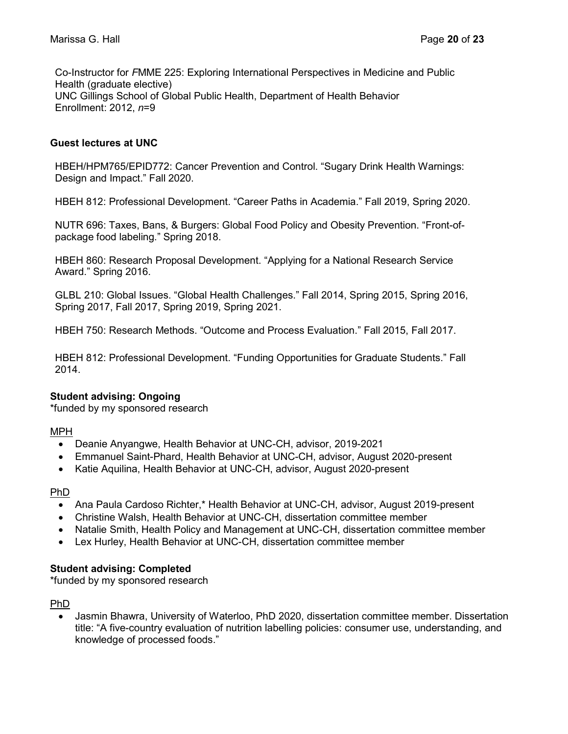Co-Instructor for FMME 225: Exploring International Perspectives in Medicine and Public Health (graduate elective) UNC Gillings School of Global Public Health, Department of Health Behavior Enrollment: 2012, n=9

#### Guest lectures at UNC

HBEH/HPM765/EPID772: Cancer Prevention and Control. "Sugary Drink Health Warnings: Design and Impact." Fall 2020.

HBEH 812: Professional Development. "Career Paths in Academia." Fall 2019, Spring 2020.

NUTR 696: Taxes, Bans, & Burgers: Global Food Policy and Obesity Prevention. "Front-ofpackage food labeling." Spring 2018.

HBEH 860: Research Proposal Development. "Applying for a National Research Service Award." Spring 2016.

GLBL 210: Global Issues. "Global Health Challenges." Fall 2014, Spring 2015, Spring 2016, Spring 2017, Fall 2017, Spring 2019, Spring 2021.

HBEH 750: Research Methods. "Outcome and Process Evaluation." Fall 2015, Fall 2017.

HBEH 812: Professional Development. "Funding Opportunities for Graduate Students." Fall 2014.

#### Student advising: Ongoing

\*funded by my sponsored research

#### MPH

- Deanie Anyangwe, Health Behavior at UNC-CH, advisor, 2019-2021
- Emmanuel Saint-Phard, Health Behavior at UNC-CH, advisor, August 2020-present
- Katie Aquilina, Health Behavior at UNC-CH, advisor, August 2020-present

#### PhD

- Ana Paula Cardoso Richter,\* Health Behavior at UNC-CH, advisor, August 2019-present
- Christine Walsh, Health Behavior at UNC-CH, dissertation committee member
- Natalie Smith, Health Policy and Management at UNC-CH, dissertation committee member
- Lex Hurley, Health Behavior at UNC-CH, dissertation committee member

#### Student advising: Completed

\*funded by my sponsored research

#### PhD

 Jasmin Bhawra, University of Waterloo, PhD 2020, dissertation committee member. Dissertation title: "A five-country evaluation of nutrition labelling policies: consumer use, understanding, and knowledge of processed foods."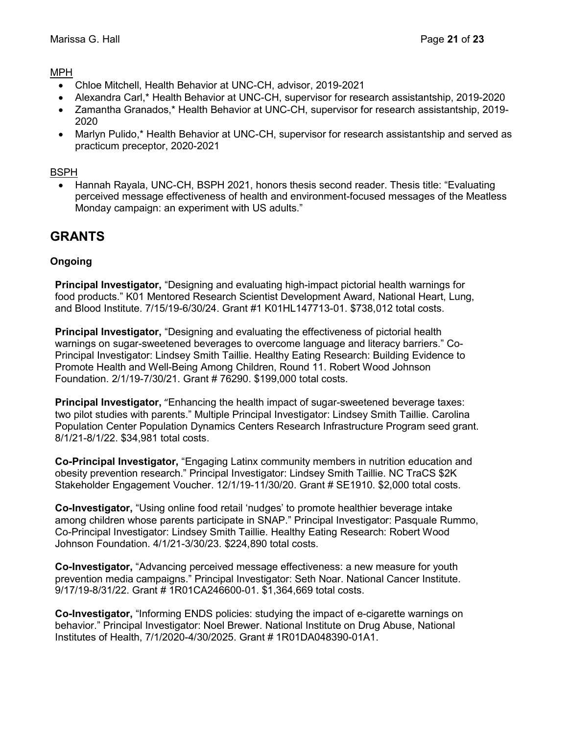#### MPH

- Chloe Mitchell, Health Behavior at UNC-CH, advisor, 2019-2021
- Alexandra Carl,\* Health Behavior at UNC-CH, supervisor for research assistantship, 2019-2020
- Zamantha Granados,\* Health Behavior at UNC-CH, supervisor for research assistantship, 2019- 2020
- Marlyn Pulido,\* Health Behavior at UNC-CH, supervisor for research assistantship and served as practicum preceptor, 2020-2021

#### BSPH

• Hannah Rayala, UNC-CH, BSPH 2021, honors thesis second reader. Thesis title: "Evaluating perceived message effectiveness of health and environment-focused messages of the Meatless Monday campaign: an experiment with US adults."

### **GRANTS**

#### Ongoing

Principal Investigator, "Designing and evaluating high-impact pictorial health warnings for food products." K01 Mentored Research Scientist Development Award, National Heart, Lung, and Blood Institute. 7/15/19-6/30/24. Grant #1 K01HL147713-01. \$738,012 total costs.

**Principal Investigator,** "Designing and evaluating the effectiveness of pictorial health warnings on sugar-sweetened beverages to overcome language and literacy barriers." Co-Principal Investigator: Lindsey Smith Taillie. Healthy Eating Research: Building Evidence to Promote Health and Well-Being Among Children, Round 11. Robert Wood Johnson Foundation. 2/1/19-7/30/21. Grant # 76290. \$199,000 total costs.

Principal Investigator, "Enhancing the health impact of sugar-sweetened beverage taxes: two pilot studies with parents." Multiple Principal Investigator: Lindsey Smith Taillie. Carolina Population Center Population Dynamics Centers Research Infrastructure Program seed grant. 8/1/21-8/1/22. \$34,981 total costs.

Co-Principal Investigator, "Engaging Latinx community members in nutrition education and obesity prevention research." Principal Investigator: Lindsey Smith Taillie. NC TraCS \$2K Stakeholder Engagement Voucher. 12/1/19-11/30/20. Grant # SE1910. \$2,000 total costs.

Co-Investigator, "Using online food retail 'nudges' to promote healthier beverage intake among children whose parents participate in SNAP." Principal Investigator: Pasquale Rummo, Co-Principal Investigator: Lindsey Smith Taillie. Healthy Eating Research: Robert Wood Johnson Foundation. 4/1/21-3/30/23. \$224,890 total costs.

Co-Investigator, "Advancing perceived message effectiveness: a new measure for youth prevention media campaigns." Principal Investigator: Seth Noar. National Cancer Institute. 9/17/19-8/31/22. Grant # 1R01CA246600-01. \$1,364,669 total costs.

Co-Investigator, "Informing ENDS policies: studying the impact of e-cigarette warnings on behavior." Principal Investigator: Noel Brewer. National Institute on Drug Abuse, National Institutes of Health, 7/1/2020-4/30/2025. Grant # 1R01DA048390-01A1.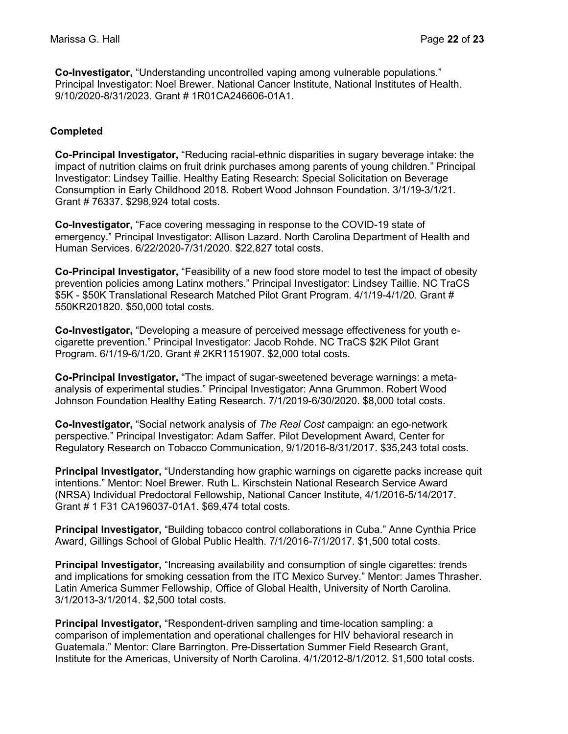Co-Investigator, "Understanding uncontrolled vaping among vulnerable populations." Principal Investigator: Noel Brewer. National Cancer Institute, National Institutes of Health. 9/10/2020-8/31/2023. Grant # 1R01CA246606-01A1.

#### Completed

Co-Principal Investigator, "Reducing racial-ethnic disparities in sugary beverage intake: the impact of nutrition claims on fruit drink purchases among parents of young children." Principal Investigator: Lindsey Taillie. Healthy Eating Research: Special Solicitation on Beverage Consumption in Early Childhood 2018. Robert Wood Johnson Foundation. 3/1/19-3/1/21. Grant # 76337. \$298,924 total costs.

Co-Investigator, "Face covering messaging in response to the COVID-19 state of emergency." Principal Investigator: Allison Lazard. North Carolina Department of Health and Human Services. 6/22/2020-7/31/2020. \$22,827 total costs.

Co-Principal Investigator, "Feasibility of a new food store model to test the impact of obesity prevention policies among Latinx mothers." Principal Investigator: Lindsey Taillie. NC TraCS \$5K - \$50K Translational Research Matched Pilot Grant Program. 4/1/19-4/1/20. Grant # 550KR201820. \$50,000 total costs.

Co-Investigator, "Developing a measure of perceived message effectiveness for youth ecigarette prevention." Principal Investigator: Jacob Rohde. NC TraCS \$2K Pilot Grant Program. 6/1/19-6/1/20. Grant # 2KR1151907. \$2,000 total costs.

Co-Principal Investigator, "The impact of sugar-sweetened beverage warnings: a metaanalysis of experimental studies." Principal Investigator: Anna Grummon. Robert Wood Johnson Foundation Healthy Eating Research. 7/1/2019-6/30/2020. \$8,000 total costs.

Co-Investigator, "Social network analysis of The Real Cost campaign: an ego-network perspective." Principal Investigator: Adam Saffer. Pilot Development Award, Center for Regulatory Research on Tobacco Communication, 9/1/2016-8/31/2017. \$35,243 total costs.

Principal Investigator, "Understanding how graphic warnings on cigarette packs increase quit intentions." Mentor: Noel Brewer. Ruth L. Kirschstein National Research Service Award (NRSA) Individual Predoctoral Fellowship, National Cancer Institute, 4/1/2016-5/14/2017. Grant # 1 F31 CA196037-01A1. \$69,474 total costs.

Principal Investigator, "Building tobacco control collaborations in Cuba." Anne Cynthia Price Award, Gillings School of Global Public Health. 7/1/2016-7/1/2017. \$1,500 total costs.

**Principal Investigator,** "Increasing availability and consumption of single cigarettes: trends and implications for smoking cessation from the ITC Mexico Survey." Mentor: James Thrasher. Latin America Summer Fellowship, Office of Global Health, University of North Carolina. 3/1/2013-3/1/2014. \$2,500 total costs.

Principal Investigator, "Respondent-driven sampling and time-location sampling: a comparison of implementation and operational challenges for HIV behavioral research in Guatemala." Mentor: Clare Barrington. Pre-Dissertation Summer Field Research Grant, Institute for the Americas, University of North Carolina. 4/1/2012-8/1/2012. \$1,500 total costs.